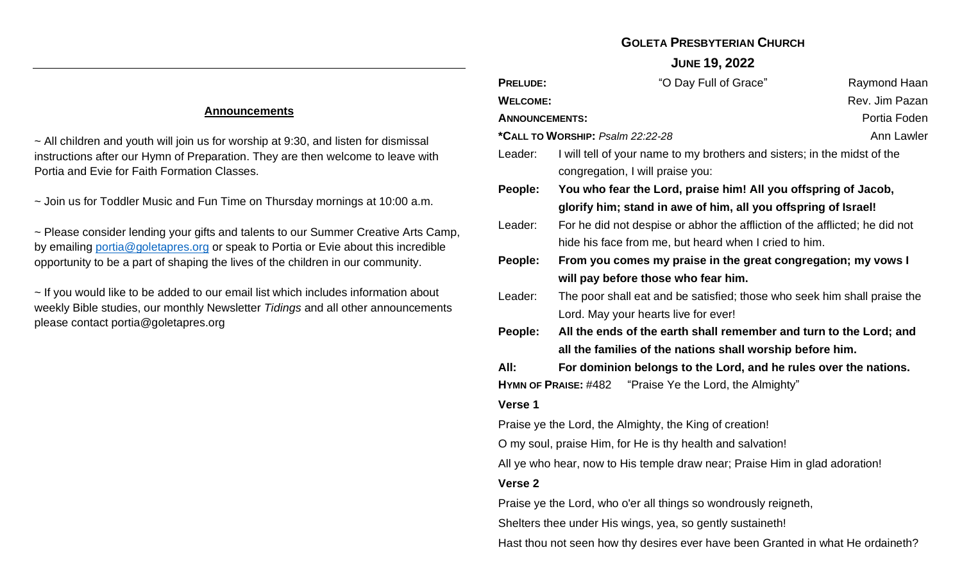# **GOLETA PRESBYTERIAN CHURCH**

## **JUNE 19, 2022**

| <b>PRELUDE:</b>       | "O Day Full of Grace"                                                       | Raymond Haan   |  |
|-----------------------|-----------------------------------------------------------------------------|----------------|--|
| <b>WELCOME:</b>       |                                                                             | Rev. Jim Pazan |  |
| <b>ANNOUNCEMENTS:</b> |                                                                             | Portia Foden   |  |
|                       | *CALL TO WORSHIP: Psalm 22:22-28                                            | Ann Lawler     |  |
| Leader:               | I will tell of your name to my brothers and sisters; in the midst of the    |                |  |
|                       | congregation, I will praise you:                                            |                |  |
| People:               | You who fear the Lord, praise him! All you offspring of Jacob,              |                |  |
|                       | glorify him; stand in awe of him, all you offspring of Israel!              |                |  |
| Leader:               | For he did not despise or abhor the affliction of the afflicted; he did not |                |  |
|                       | hide his face from me, but heard when I cried to him.                       |                |  |
| People:               | From you comes my praise in the great congregation; my vows I               |                |  |
|                       | will pay before those who fear him.                                         |                |  |
| Leader:               | The poor shall eat and be satisfied; those who seek him shall praise the    |                |  |
|                       | Lord. May your hearts live for ever!                                        |                |  |
| People:               | All the ends of the earth shall remember and turn to the Lord; and          |                |  |
|                       | all the families of the nations shall worship before him.                   |                |  |
| All:                  | For dominion belongs to the Lord, and he rules over the nations.            |                |  |
|                       | HYMN OF PRAISE: #482 "Praise Ye the Lord, the Almighty"                     |                |  |
| Verse 1               |                                                                             |                |  |
|                       | Praise ye the Lord, the Almighty, the King of creation!                     |                |  |
|                       | O my soul, praise Him, for He is thy health and salvation!                  |                |  |
|                       | All ye who hear, now to His temple draw near; Praise Him in glad adoration! |                |  |
| Verse <sub>2</sub>    |                                                                             |                |  |
|                       | Praise ye the Lord, who o'er all things so wondrously reigneth,             |                |  |
|                       | Shelters thee under His wings, yea, so gently sustaineth!                   |                |  |
|                       |                                                                             |                |  |

# **Announcements**

~ All children and youth will join us for worship at 9:30, and listen for dismissal instructions after our Hymn of Preparation. They are then welcome to leave with Portia and Evie for Faith Formation Classes.

~ Join us for Toddler Music and Fun Time on Thursday mornings at 10:00 a.m.

~ Please consider lending your gifts and talents to our Summer Creative Arts Camp, by emailing [portia@goletapres.org](mailto:portia@goletapres.org) or speak to Portia or Evie about this incredible opportunity to be a part of shaping the lives of the children in our community.

~ If you would like to be added to our email list which includes information about weekly Bible studies, our monthly Newsletter *Tidings* and all other announcements please contact portia@goletapres.org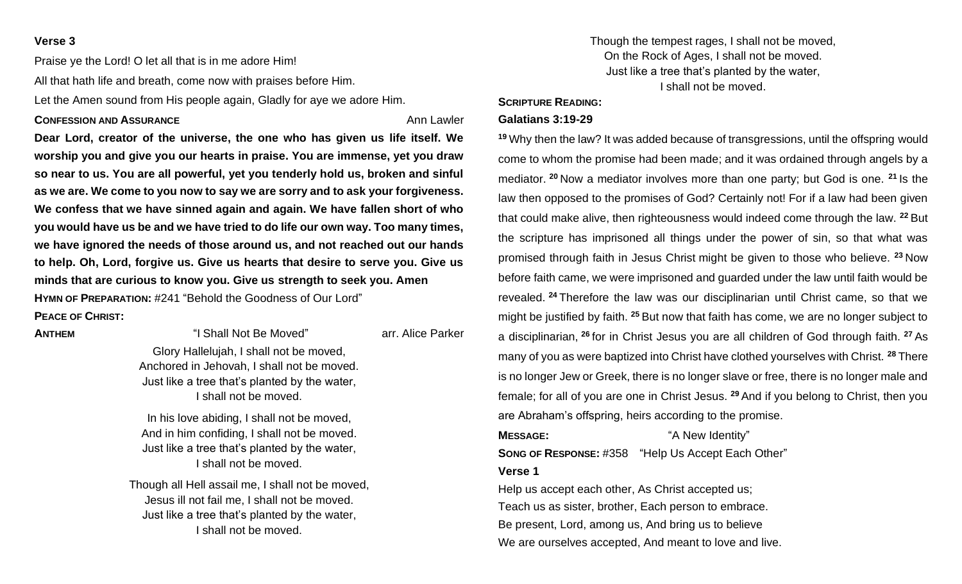## **Verse 3**

Praise ye the Lord! O let all that is in me adore Him!

All that hath life and breath, come now with praises before Him.

Let the Amen sound from His people again, Gladly for aye we adore Him.

## **CONFESSION AND ASSURANCE** Ann Lawler

**Dear Lord, creator of the universe, the one who has given us life itself. We worship you and give you our hearts in praise. You are immense, yet you draw so near to us. You are all powerful, yet you tenderly hold us, broken and sinful as we are. We come to you now to say we are sorry and to ask your forgiveness. We confess that we have sinned again and again. We have fallen short of who you would have us be and we have tried to do life our own way. Too many times, we have ignored the needs of those around us, and not reached out our hands to help. Oh, Lord, forgive us. Give us hearts that desire to serve you. Give us minds that are curious to know you. Give us strength to seek you. Amen HYMN OF PREPARATION:** #241 "Behold the Goodness of Our Lord" **PEACE OF CHRIST:**

**ANTHEM** "I Shall Not Be Moved" arr. Alice Parker

Glory Hallelujah, I shall not be moved, Anchored in Jehovah, I shall not be moved. Just like a tree that's planted by the water, I shall not be moved.

In his love abiding, I shall not be moved, And in him confiding, I shall not be moved. Just like a tree that's planted by the water, I shall not be moved.

Though all Hell assail me, I shall not be moved, Jesus ill not fail me, I shall not be moved. Just like a tree that's planted by the water, I shall not be moved.

Though the tempest rages, I shall not be moved, On the Rock of Ages, I shall not be moved. Just like a tree that's planted by the water, I shall not be moved.

# **SCRIPTURE READING:**

## **Galatians 3:19-29**

**<sup>19</sup>** Why then the law? It was added because of transgressions, until the offspring would come to whom the promise had been made; and it was ordained through angels by a mediator. **<sup>20</sup>** Now a mediator involves more than one party; but God is one. **<sup>21</sup>** Is the law then opposed to the promises of God? Certainly not! For if a law had been given that could make alive, then righteousness would indeed come through the law. **<sup>22</sup>** But the scripture has imprisoned all things under the power of sin, so that what was promised through faith in Jesus Christ might be given to those who believe. **<sup>23</sup>** Now before faith came, we were imprisoned and guarded under the law until faith would be revealed. **<sup>24</sup>** Therefore the law was our disciplinarian until Christ came, so that we might be justified by faith. **<sup>25</sup>** But now that faith has come, we are no longer subject to a disciplinarian, **<sup>26</sup>** for in Christ Jesus you are all children of God through faith. **<sup>27</sup>** As many of you as were baptized into Christ have clothed yourselves with Christ. **<sup>28</sup>** There is no longer Jew or Greek, there is no longer slave or free, there is no longer male and female; for all of you are one in Christ Jesus. **<sup>29</sup>** And if you belong to Christ, then you are Abraham's offspring, heirs according to the promise.

**MESSAGE:** "A New Identity" **SONG OF RESPONSE:** #358 "Help Us Accept Each Other" **Verse 1**

Help us accept each other, As Christ accepted us; Teach us as sister, brother, Each person to embrace. Be present, Lord, among us, And bring us to believe We are ourselves accepted, And meant to love and live.